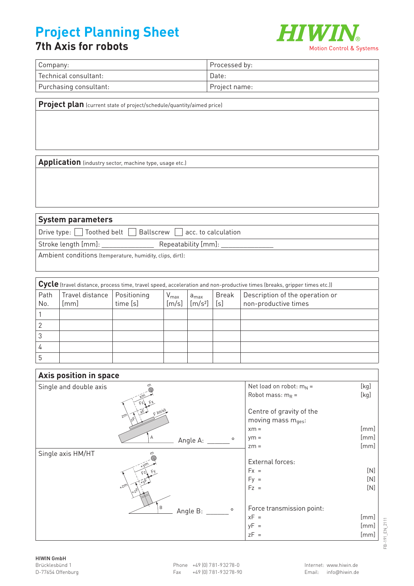#### **Project Planning Sheet 7th Axis for robots**



| Company:                | Processed by: |  |  |  |
|-------------------------|---------------|--|--|--|
| l Technical consultant: | Date:         |  |  |  |
| Purchasing consultant:  | Project name: |  |  |  |

**Project plan** (current state of project/schedule/quantity/aimed price)

**Application** (industry sector, machine type, usage etc.)

**System parameters**

Drive type:  $\Box$  Toothed belt  $\Box$  Ballscrew  $\Box$  acc. to calculation

Stroke length [mm]: \_\_\_\_\_\_\_\_\_\_\_\_\_\_ Repeatability [mm]: \_\_\_\_\_\_\_\_\_\_\_\_\_\_

Ambient conditions (temperature, humidity, clips, dirt):

| Cycle (travel distance, process time, travel speed, acceleration and non-productive times (breaks, gripper times etc.)) |                                     |                         |                           |                        |              |                                                         |
|-------------------------------------------------------------------------------------------------------------------------|-------------------------------------|-------------------------|---------------------------|------------------------|--------------|---------------------------------------------------------|
| Path<br>No.                                                                                                             | Travel distance<br>lmm <sub>l</sub> | Positioning<br>time [s] | $V_{\text{max}}$<br>[m/s] | $a_{max}$<br>$[m/s^2]$ | Break<br>[s] | Description of the operation or<br>non-productive times |
|                                                                                                                         |                                     |                         |                           |                        |              |                                                         |
|                                                                                                                         |                                     |                         |                           |                        |              |                                                         |
|                                                                                                                         |                                     |                         |                           |                        |              |                                                         |
|                                                                                                                         |                                     |                         |                           |                        |              |                                                         |
|                                                                                                                         |                                     |                         |                           |                        |              |                                                         |

| Axis position in space |                                |          |         |                                                                    |              |
|------------------------|--------------------------------|----------|---------|--------------------------------------------------------------------|--------------|
| Single and double axis |                                |          |         | Net load on robot: $m_N =$                                         | [kg]         |
|                        |                                |          |         | Robot mass: $m_R =$                                                | [kg]         |
|                        | F Antrieb<br>$2^{\mathcal{N}}$ | Angle A: | $\circ$ | Centre of gravity of the<br>moving mass mges:<br>$x_m =$<br>$ym =$ | [mm]<br>[mm] |
|                        |                                |          |         | $Zm =$                                                             | [mm]         |
| Single axis HM/HT      |                                |          |         | External forces:                                                   |              |
|                        |                                |          |         | $Fx =$                                                             | [N]          |
|                        |                                |          |         | $Fy =$                                                             | [N]          |
|                        | $+2^{\pi}$                     |          |         | $Fz =$                                                             | $[N]$        |
|                        | B                              | Angle B: | $\circ$ | Force transmission point:                                          |              |
|                        |                                |          |         | $xF =$                                                             | [mm]         |
|                        |                                |          |         | уF<br>$=$                                                          | [mm]         |
|                        |                                |          |         | $zF =$                                                             | [mm]         |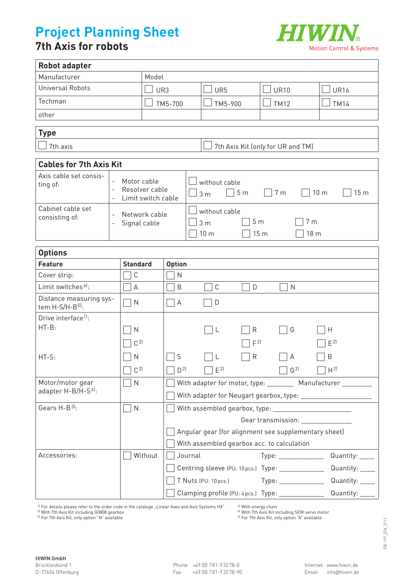## **Project Planning Sheet**

#### **7th Axis for robots**



| <b>Robot adapter</b>                           |                               |                     |                                                                                                                   |                |                                   |                                                                 |  |  |  |
|------------------------------------------------|-------------------------------|---------------------|-------------------------------------------------------------------------------------------------------------------|----------------|-----------------------------------|-----------------------------------------------------------------|--|--|--|
| Manufacturer                                   | Model                         |                     |                                                                                                                   |                |                                   |                                                                 |  |  |  |
| Universal Robots                               |                               | UR3                 | UR <sub>5</sub>                                                                                                   |                | <b>UR10</b>                       | <b>UR16</b>                                                     |  |  |  |
| Techman                                        |                               | TM5-700             | TM5-900                                                                                                           |                | <b>TM12</b>                       | <b>TM14</b>                                                     |  |  |  |
| other                                          |                               |                     |                                                                                                                   |                |                                   |                                                                 |  |  |  |
|                                                |                               |                     |                                                                                                                   |                |                                   |                                                                 |  |  |  |
| <b>Type</b>                                    |                               |                     |                                                                                                                   |                |                                   |                                                                 |  |  |  |
| 7th axis                                       |                               |                     |                                                                                                                   |                | 7th Axis Kit (only for UR and TM) |                                                                 |  |  |  |
| <b>Cables for 7th Axis Kit</b>                 |                               |                     |                                                                                                                   |                |                                   |                                                                 |  |  |  |
| Axis cable set consis-<br>ting of:             | Motor cable<br>Resolver cable | Limit switch cable  | without cable<br>5 <sub>m</sub><br>7 <sub>m</sub><br>10 <sub>m</sub><br>15 <sub>m</sub><br>3 <sub>m</sub>         |                |                                   |                                                                 |  |  |  |
| Cabinet cable set<br>consisting of:            | Network cable<br>Signal cable |                     | without cable<br>5 <sub>m</sub><br>7 <sub>m</sub><br>3 <sub>m</sub><br>18 m<br>10 <sub>m</sub><br>15 <sub>m</sub> |                |                                   |                                                                 |  |  |  |
| <b>Options</b>                                 |                               |                     |                                                                                                                   |                |                                   |                                                                 |  |  |  |
| <b>Feature</b>                                 | <b>Standard</b>               | <b>Option</b>       |                                                                                                                   |                |                                   |                                                                 |  |  |  |
| Cover strip:                                   | $\mathsf C$                   | $\mathsf{N}$        |                                                                                                                   |                |                                   |                                                                 |  |  |  |
| Limit switches <sup>6]</sup> :                 | A                             | B                   | C                                                                                                                 | $\mathsf{D}$   | $\mathsf{N}$                      |                                                                 |  |  |  |
| Distance measuring sys-<br>tem $H-S/H-B^{5}$ : | $\mathsf{N}$                  | A                   | D                                                                                                                 |                |                                   |                                                                 |  |  |  |
| Drive interface <sup>1)</sup> :                |                               |                     |                                                                                                                   |                |                                   |                                                                 |  |  |  |
| $HT-B:$                                        | N                             |                     | L                                                                                                                 | $\mathsf{R}$   | G                                 | H                                                               |  |  |  |
|                                                | C <sub>2</sub>                |                     |                                                                                                                   | F <sup>2</sup> |                                   | $E^{2}$                                                         |  |  |  |
| HT-S:                                          | N                             | S                   |                                                                                                                   | R              | A                                 | B                                                               |  |  |  |
|                                                | C <sub>2</sub><br>ىـــا       | $\mathsf{D}^{\,2]}$ | $E^{2}$                                                                                                           |                | G <sup>2</sup>                    | H <sup>2</sup>                                                  |  |  |  |
| Motor/motor gear                               | $\mathsf{N}$                  |                     |                                                                                                                   |                |                                   | With adapter for motor, type: __________ Manufacturer _________ |  |  |  |
| adapter H-B/H-S <sup>4)</sup> :                |                               |                     | With adapter for Neugart gearbox, type: _______________________                                                   |                |                                   |                                                                 |  |  |  |
| Gears H-B <sup>31</sup> :                      | $\mathsf{N}$                  |                     | With assembled gearbox, type: _________________________                                                           |                |                                   |                                                                 |  |  |  |
|                                                |                               |                     | Gear transmission: ______________                                                                                 |                |                                   |                                                                 |  |  |  |
|                                                |                               |                     | Angular gear (for alignment see supplementary sheet)                                                              |                |                                   |                                                                 |  |  |  |
|                                                |                               |                     | With assembled gearbox acc. to calculation                                                                        |                |                                   |                                                                 |  |  |  |
| Accessories:                                   | Without                       |                     | Journal<br>$Type: \_\_\_\_\_\_\_\_\_\_\_\_\_\_\_\_\_\_$<br>Quantity: _____                                        |                |                                   |                                                                 |  |  |  |
|                                                |                               |                     | Centring sleeve (PU: 10 pcs.) Type: ______________                                                                |                |                                   | Quantity: ____                                                  |  |  |  |
|                                                |                               |                     | T Nuts (PU: 10 pcs.)                                                                                              |                | Type: _________________           | Quantity: _____                                                 |  |  |  |
|                                                |                               |                     | Clamping profile (PU: 4 pcs.) Type: _____________                                                                 |                |                                   | Quantity: ________                                              |  |  |  |

<sup>1)</sup> For details please refer to the order code in the cataloge "Linear Axes and Axis Systems HX"

<sup>2)</sup> With energy chain<br><sup>4)</sup> With 7th Axis Kit including SEW servo motor<br><sup>6)</sup> For 7th Axis Kit, only option "A" available